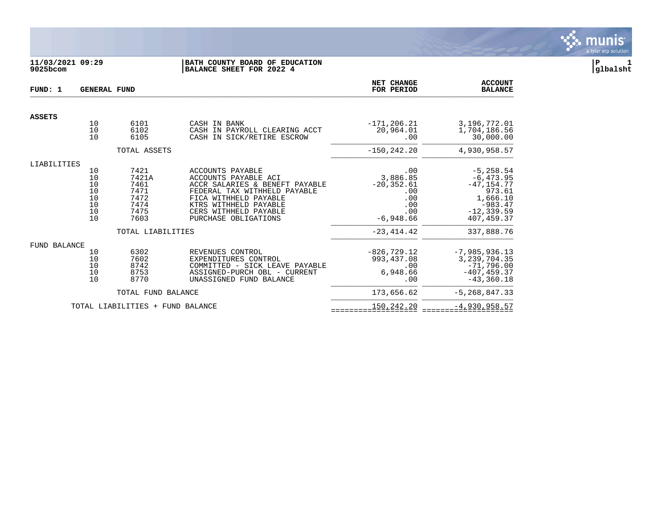

## **11/03/2021 09:29 |BATH COUNTY BOARD OF EDUCATION |P 1 9025bcom |BALANCE SHEET FOR 2022 4 |glbalsht**

| FUND: 1             | <b>GENERAL FUND</b>                            |                                                               | NET CHANGE<br>FOR PERIOD                                                                                                                                                                                      | <b>ACCOUNT</b><br><b>BALANCE</b>                                            |                                                                                                                 |
|---------------------|------------------------------------------------|---------------------------------------------------------------|---------------------------------------------------------------------------------------------------------------------------------------------------------------------------------------------------------------|-----------------------------------------------------------------------------|-----------------------------------------------------------------------------------------------------------------|
| <b>ASSETS</b>       |                                                |                                                               |                                                                                                                                                                                                               |                                                                             |                                                                                                                 |
|                     | 10<br>10<br>10                                 | 6101<br>6102<br>6105                                          | CASH IN BANK<br>CASH IN PAYROLL CLEARING ACCT<br>CASH IN SICK/RETIRE ESCROW                                                                                                                                   | $-171, 206.21$<br>20,964.01<br>.00                                          | 3,196,772.01<br>1,704,186.56<br>30,000.00                                                                       |
|                     |                                                | TOTAL ASSETS                                                  |                                                                                                                                                                                                               | $-150, 242.20$                                                              | 4,930,958.57                                                                                                    |
| LIABILITIES         |                                                |                                                               |                                                                                                                                                                                                               |                                                                             |                                                                                                                 |
|                     | 10<br>10<br>$10$<br>10<br>10<br>10<br>10<br>10 | 7421<br>7421A<br>7461<br>7471<br>7472<br>7474<br>7475<br>7603 | ACCOUNTS PAYABLE<br>ACCOUNTS PAYABLE ACI<br>ACCR SALARIES & BENEFT PAYABLE<br>FEDERAL TAX WITHHELD PAYABLE<br>FICA WITHHELD PAYABLE<br>KTRS WITHHELD PAYABLE<br>CERS WITHHELD PAYABLE<br>PURCHASE OBLIGATIONS | .00<br>3,886.85<br>$-20, 352.61$<br>.00<br>.00<br>.00<br>.00<br>$-6,948.66$ | $-5, 258.54$<br>$-6, 473.95$<br>$-47, 154.77$<br>973.61<br>1,666.10<br>$-983.47$<br>$-12, 339.59$<br>407,459.37 |
|                     |                                                | TOTAL LIABILITIES                                             |                                                                                                                                                                                                               | $-23, 414.42$                                                               | 337,888.76                                                                                                      |
| <b>FUND BALANCE</b> |                                                |                                                               |                                                                                                                                                                                                               |                                                                             |                                                                                                                 |
|                     | 10<br>10<br>10<br>10<br>10                     | 6302<br>7602<br>8742<br>8753<br>8770                          | REVENUES CONTROL<br>EXPENDITURES CONTROL<br>COMMITTED - SICK LEAVE PAYABLE<br>ASSIGNED-PURCH OBL - CURRENT<br>UNASSIGNED FUND BALANCE                                                                         | $-826, 729.12$<br>993, 437.08<br>.00<br>6,948.66<br>.00                     | $-7,985,936.13$<br>3, 239, 704.35<br>$-71,796.00$<br>$-407, 459.37$<br>$-43, 360.18$                            |
|                     |                                                | TOTAL FUND BALANCE                                            |                                                                                                                                                                                                               | 173,656.62                                                                  | $-5, 268, 847.33$                                                                                               |
|                     |                                                | TOTAL LIABILITIES + FUND BALANCE                              |                                                                                                                                                                                                               | 150,242.20                                                                  | $-4,930,958.57$                                                                                                 |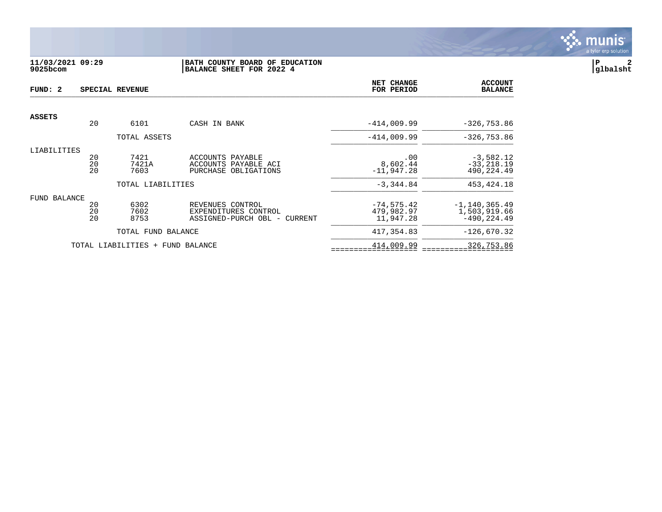

## **11/03/2021 09:29 |BATH COUNTY BOARD OF EDUCATION |P 2 9025bcom |BALANCE SHEET FOR 2022 4 |glbalsht**

| FUND: 2       |                 | SPECIAL REVENUE                  | NET CHANGE<br>FOR PERIOD        | <b>ACCOUNT</b><br><b>BALANCE</b> |                   |
|---------------|-----------------|----------------------------------|---------------------------------|----------------------------------|-------------------|
| <b>ASSETS</b> |                 |                                  |                                 |                                  |                   |
|               | 20              | 6101                             | CASH IN BANK                    | $-414,009.99$                    | $-326,753.86$     |
|               |                 | TOTAL ASSETS                     |                                 | $-414.009.99$                    | $-326,753.86$     |
| LIABILITIES   |                 |                                  |                                 |                                  |                   |
|               | 20              | 7421                             | ACCOUNTS PAYABLE                | .00                              | $-3,582.12$       |
|               | $\overline{20}$ | 7421A                            | ACCOUNTS PAYABLE ACI            | 8,602.44                         | $-33, 218.19$     |
|               | 20              | 7603                             | PURCHASE OBLIGATIONS            | $-11,947.28$                     | 490,224.49        |
|               |                 | TOTAL LIABILITIES                |                                 | $-3,344.84$                      | 453, 424. 18      |
| FUND BALANCE  |                 |                                  |                                 |                                  |                   |
|               | 20              | 6302                             | REVENUES CONTROL                | $-74, 575.42$                    | $-1, 140, 365.49$ |
|               | 20              | 7602                             | EXPENDITURES CONTROL            | 479,982.97                       | 1,503,919.66      |
|               | 20              | 8753                             | ASSIGNED-PURCH OBL -<br>CURRENT | 11,947.28                        | $-490, 224.49$    |
|               |                 | TOTAL FUND BALANCE               |                                 | 417,354.83                       | $-126,670.32$     |
|               |                 | TOTAL LIABILITIES + FUND BALANCE |                                 | 414,009.99                       | 326,753.86        |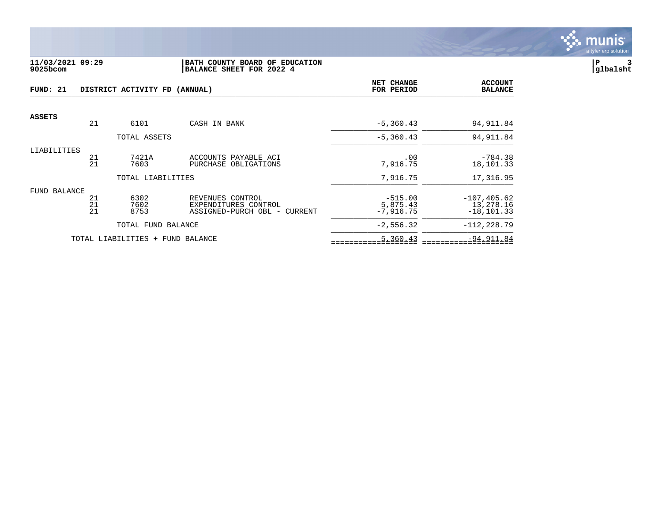

#### **11/03/2021 09:29 |BATH COUNTY BOARD OF EDUCATION |P 3 9025bcom |BALANCE SHEET FOR 2022 4 |glbalsht**

| FUND: 21<br>DISTRICT ACTIVITY FD (ANNUAL) |                |                                  |                                                                          | <b>NET CHANGE</b><br>FOR PERIOD      | <b>ACCOUNT</b><br><b>BALANCE</b>             |
|-------------------------------------------|----------------|----------------------------------|--------------------------------------------------------------------------|--------------------------------------|----------------------------------------------|
| <b>ASSETS</b>                             |                |                                  |                                                                          |                                      |                                              |
|                                           | 21             | 6101                             | CASH IN BANK                                                             | $-5, 360.43$                         | 94, 911.84                                   |
|                                           |                | TOTAL ASSETS                     |                                                                          | $-5, 360.43$                         | 94, 911.84                                   |
| LIABILITIES                               | 21<br>21       | 7421A<br>7603                    | ACCOUNTS PAYABLE ACI<br>PURCHASE OBLIGATIONS                             | .00<br>7,916.75                      | $-784.38$<br>18,101.33                       |
|                                           |                | TOTAL LIABILITIES                |                                                                          | 7,916.75                             | 17,316.95                                    |
| FUND BALANCE                              | 21<br>21<br>21 | 6302<br>7602<br>8753             | REVENUES CONTROL<br>EXPENDITURES CONTROL<br>ASSIGNED-PURCH OBL - CURRENT | $-515.00$<br>5,875.43<br>$-7,916.75$ | $-107, 405.62$<br>13,278.16<br>$-18, 101.33$ |
|                                           |                | TOTAL FUND BALANCE               |                                                                          | $-2,556.32$                          | $-112, 228.79$                               |
|                                           |                | TOTAL LIABILITIES + FUND BALANCE |                                                                          | 5,360.43                             | $-94,911.84$                                 |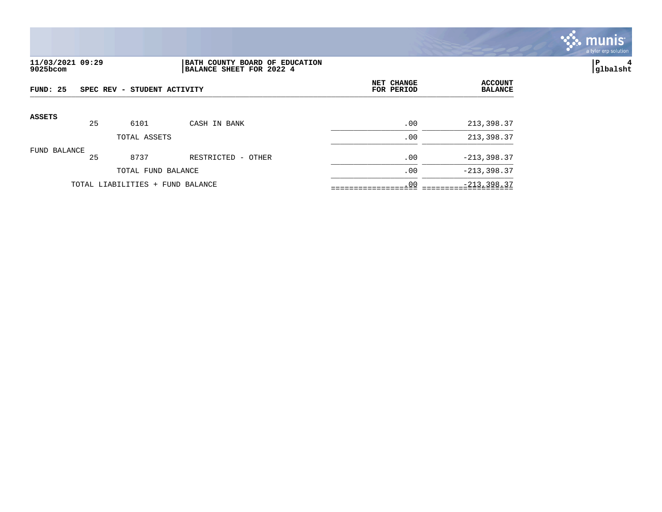

## **11/03/2021 09:29 |BATH COUNTY BOARD OF EDUCATION |P 4 9025bcom |BALANCE SHEET FOR 2022 4 |glbalsht**

| FUND: 25<br>SPEC REV - STUDENT ACTIVITY |    |                                  |                    | NET CHANGE<br>FOR PERIOD | <b>ACCOUNT</b><br><b>BALANCE</b> |
|-----------------------------------------|----|----------------------------------|--------------------|--------------------------|----------------------------------|
| <b>ASSETS</b>                           | 25 | 6101                             | CASH IN BANK       | .00                      | 213,398.37                       |
|                                         |    | TOTAL ASSETS                     |                    | .00                      | 213,398.37                       |
| FUND BALANCE                            | 25 | 8737                             | RESTRICTED - OTHER | .00                      | $-213,398.37$                    |
|                                         |    | TOTAL FUND BALANCE               |                    | .00                      | $-213, 398.37$                   |
|                                         |    | TOTAL LIABILITIES + FUND BALANCE |                    | .00                      | $-213, 398.37$                   |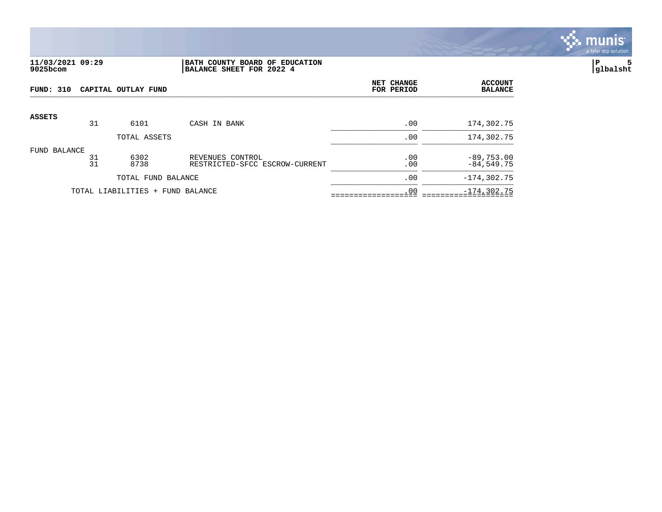![](_page_4_Picture_0.jpeg)

### **11/03/2021 09:29 |BATH COUNTY BOARD OF EDUCATION |P 5 9025bcom |BALANCE SHEET FOR 2022 4 |glbalsht**

| FUND: 310     |          | CAPITAL OUTLAY FUND              | NET CHANGE<br>FOR PERIOD                           | <b>ACCOUNT</b><br><b>BALANCE</b> |                              |
|---------------|----------|----------------------------------|----------------------------------------------------|----------------------------------|------------------------------|
| <b>ASSETS</b> |          |                                  |                                                    |                                  |                              |
|               | 31       | 6101                             | CASH IN BANK                                       | .00                              | 174,302.75                   |
|               |          | TOTAL ASSETS                     |                                                    | .00                              | 174,302.75                   |
| FUND BALANCE  | 31<br>31 | 6302<br>8738                     | REVENUES CONTROL<br>RESTRICTED-SFCC ESCROW-CURRENT | .00<br>.00                       | $-89,753.00$<br>$-84,549.75$ |
|               |          | TOTAL FUND BALANCE               |                                                    | .00                              | $-174, 302.75$               |
|               |          | TOTAL LIABILITIES + FUND BALANCE |                                                    | .00                              | $-174, 302.75$               |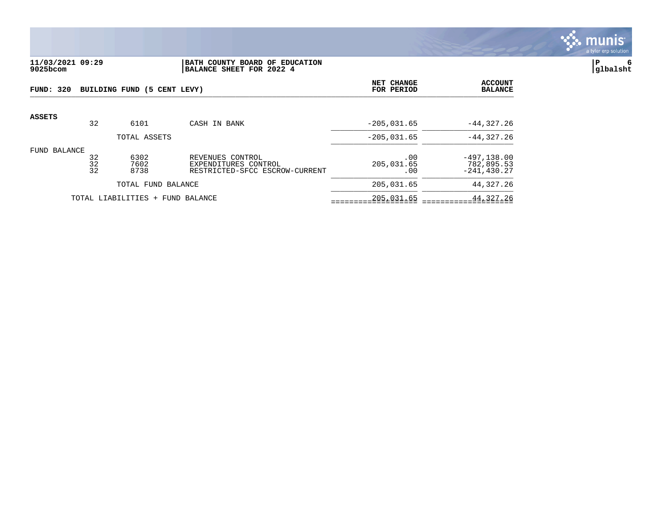![](_page_5_Picture_0.jpeg)

## **11/03/2021 09:29 |BATH COUNTY BOARD OF EDUCATION |P 6 9025bcom |BALANCE SHEET FOR 2022 4 |glbalsht**

| FUND: 320     |                | BUILDING FUND (5 CENT LEVY)      |                                                                            | NET CHANGE<br>FOR PERIOD | <b>ACCOUNT</b><br><b>BALANCE</b>               |
|---------------|----------------|----------------------------------|----------------------------------------------------------------------------|--------------------------|------------------------------------------------|
| <b>ASSETS</b> | 32             | 6101                             | CASH IN BANK                                                               | $-205,031.65$            | $-44, 327.26$                                  |
|               |                | TOTAL ASSETS                     |                                                                            | $-205.031.65$            | $-44.327.26$                                   |
| FUND BALANCE  | 32<br>32<br>32 | 6302<br>7602<br>8738             | REVENUES CONTROL<br>EXPENDITURES CONTROL<br>RESTRICTED-SFCC ESCROW-CURRENT | .00<br>205,031.65<br>.00 | $-497, 138.00$<br>782,895.53<br>$-241, 430.27$ |
|               |                | TOTAL FUND BALANCE               |                                                                            | 205,031.65               | 44,327.26                                      |
|               |                | TOTAL LIABILITIES + FUND BALANCE |                                                                            | 205,031.65               | 44,327.26                                      |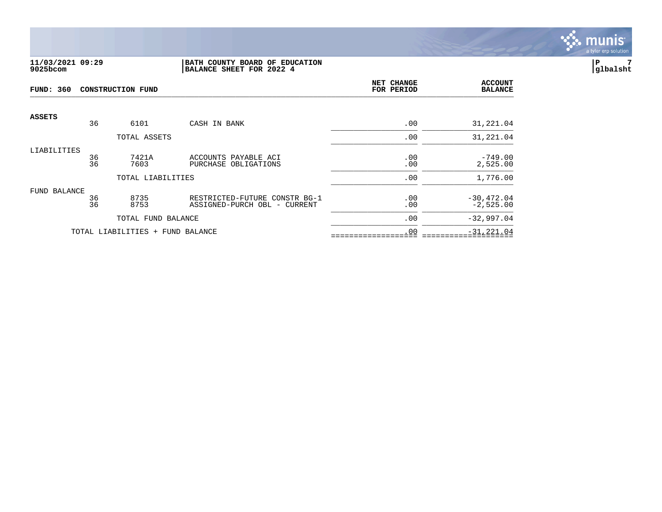![](_page_6_Picture_0.jpeg)

#### **11/03/2021 09:29 |BATH COUNTY BOARD OF EDUCATION |P 7 9025bcom |BALANCE SHEET FOR 2022 4 |glbalsht**

| <b>FUND: 360</b> |          | <b>CONSTRUCTION FUND</b>         | NET CHANGE<br>FOR PERIOD                                      | <b>ACCOUNT</b><br><b>BALANCE</b> |                              |
|------------------|----------|----------------------------------|---------------------------------------------------------------|----------------------------------|------------------------------|
| <b>ASSETS</b>    | 36       | 6101                             | CASH IN BANK                                                  | .00                              | 31,221.04                    |
|                  |          | TOTAL ASSETS                     |                                                               | .00                              | 31,221.04                    |
| LIABILITIES      | 36<br>36 | 7421A<br>7603                    | ACCOUNTS PAYABLE ACI<br>PURCHASE OBLIGATIONS                  | .00<br>.00                       | $-749.00$<br>2,525.00        |
|                  |          | TOTAL LIABILITIES                |                                                               | .00                              | 1,776.00                     |
| FUND BALANCE     | 36<br>36 | 8735<br>8753                     | RESTRICTED-FUTURE CONSTR BG-1<br>ASSIGNED-PURCH OBL - CURRENT | .00<br>.00                       | $-30, 472.04$<br>$-2,525.00$ |
|                  |          | TOTAL FUND BALANCE               |                                                               | .00                              | $-32,997.04$                 |
|                  |          | TOTAL LIABILITIES + FUND BALANCE |                                                               | .00                              | $-31, 221.04$                |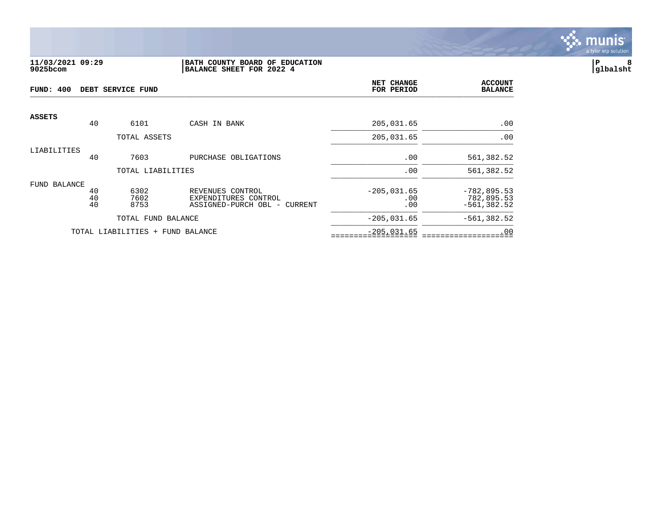![](_page_7_Picture_0.jpeg)

### **11/03/2021 09:29 |BATH COUNTY BOARD OF EDUCATION |P 8 9025bcom |BALANCE SHEET FOR 2022 4 |glbalsht**

| FUND: 400<br>DEBT SERVICE FUND |                |                      |                                                                          | NET CHANGE<br>FOR PERIOD    | <b>ACCOUNT</b><br><b>BALANCE</b>               |
|--------------------------------|----------------|----------------------|--------------------------------------------------------------------------|-----------------------------|------------------------------------------------|
| <b>ASSETS</b>                  | 40             | 6101                 | CASH IN BANK                                                             | 205,031.65                  | .00                                            |
|                                |                | TOTAL ASSETS         |                                                                          | 205,031.65                  | .00                                            |
| LIABILITIES                    | 40             | 7603                 | PURCHASE OBLIGATIONS                                                     | .00                         | 561,382.52                                     |
|                                |                | TOTAL LIABILITIES    |                                                                          | .00                         | 561,382.52                                     |
| FUND BALANCE                   |                |                      |                                                                          |                             |                                                |
|                                | 40<br>40<br>40 | 6302<br>7602<br>8753 | REVENUES CONTROL<br>EXPENDITURES CONTROL<br>ASSIGNED-PURCH OBL - CURRENT | $-205,031.65$<br>.00<br>.00 | $-782, 895.53$<br>782,895.53<br>$-561, 382.52$ |
|                                |                | TOTAL FUND BALANCE   |                                                                          | $-205,031.65$               | $-561, 382.52$                                 |
|                                |                | TOTAL LIABILITIES +  | FUND BALANCE                                                             | $-205,031.65$               | .00                                            |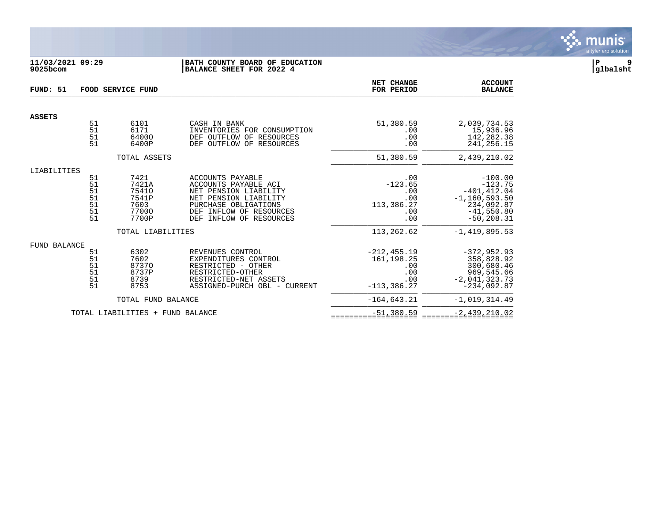![](_page_8_Picture_0.jpeg)

## **11/03/2021 09:29 |BATH COUNTY BOARD OF EDUCATION |P 9 9025bcom |BALANCE SHEET FOR 2022 4 |glbalsht**

| FUND: 51            |                                        | FOOD SERVICE FUND                                         |                                                                                                                                                                                       | NET CHANGE<br>FOR PERIOD                                             | <b>ACCOUNT</b><br><b>BALANCE</b>                                                                             |
|---------------------|----------------------------------------|-----------------------------------------------------------|---------------------------------------------------------------------------------------------------------------------------------------------------------------------------------------|----------------------------------------------------------------------|--------------------------------------------------------------------------------------------------------------|
| <b>ASSETS</b>       |                                        |                                                           |                                                                                                                                                                                       |                                                                      |                                                                                                              |
|                     | 51<br>51<br>51<br>51                   | 6101<br>6171<br>64000<br>6400P                            | CASH IN BANK<br>INVENTORIES FOR CONSUMPTION<br>DEF OUTFLOW OF<br>RESOURCES<br>DEF OUTFLOW OF<br>RESOURCES                                                                             | 51,380.59<br>.00<br>.00<br>.00                                       | 2,039,734.53<br>15,936.96<br>142,282.38<br>241, 256. 15                                                      |
|                     |                                        | TOTAL ASSETS                                              |                                                                                                                                                                                       | 51,380.59                                                            | 2,439,210.02                                                                                                 |
| LIABILITIES         | 51<br>51<br>51<br>51<br>51<br>51<br>51 | 7421<br>7421A<br>75410<br>7541P<br>7603<br>77000<br>7700P | ACCOUNTS PAYABLE<br>ACCOUNTS PAYABLE ACI<br>NET PENSION LIABILITY<br>NET PENSION LIABILITY<br>PURCHASE OBLIGATIONS<br>INFLOW OF RESOURCES<br><b>DEF</b><br>DEF<br>INFLOW OF RESOURCES | .00<br>$-123.65$<br>.00<br>.00<br>113,386.27<br>.00<br>.00           | $-100.00$<br>$-123.75$<br>$-401, 412.04$<br>$-1, 160, 593.50$<br>234,092.87<br>$-41,550.80$<br>$-50, 208.31$ |
|                     |                                        | TOTAL LIABILITIES                                         |                                                                                                                                                                                       | 113,262.62                                                           | $-1, 419, 895.53$                                                                                            |
| <b>FUND BALANCE</b> | 51<br>51<br>51<br>51<br>51<br>51       | 6302<br>7602<br>87370<br>8737P<br>8739<br>8753            | REVENUES CONTROL<br>EXPENDITURES CONTROL<br>RESTRICTED - OTHER<br>RESTRICTED-OTHER<br>RESTRICTED-NET ASSETS<br>ASSIGNED-PURCH OBL - CURRENT                                           | $-212.455.19$<br>161, 198. 25<br>.00<br>.00<br>.00<br>$-113, 386.27$ | $-372, 952.93$<br>358,828.92<br>300,680.46<br>969,545.66<br>$-2,041,323.73$<br>$-234,092.87$                 |
|                     |                                        | TOTAL FUND BALANCE                                        |                                                                                                                                                                                       | $-164.643.21$                                                        | $-1,019,314.49$                                                                                              |
|                     |                                        | TOTAL LIABILITIES + FUND BALANCE                          |                                                                                                                                                                                       | $-51,380.59$                                                         | $-2,439,210.02$                                                                                              |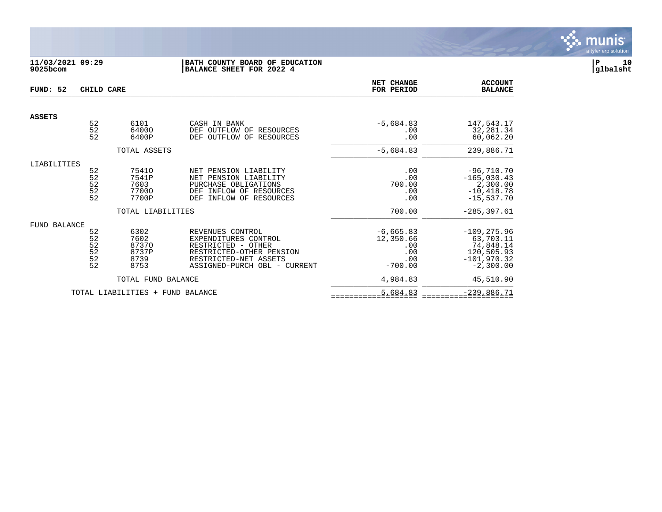![](_page_9_Picture_0.jpeg)

## **11/03/2021 09:29 |BATH COUNTY BOARD OF EDUCATION |P 10 9025bcom |BALANCE SHEET FOR 2022 4 |glbalsht**

| FUND: 52            | CHILD CARE                                                |                                                |                                                                                                                                                        | NET CHANGE<br>FOR PERIOD                                   | <b>ACCOUNT</b><br><b>BALANCE</b>                                                       |
|---------------------|-----------------------------------------------------------|------------------------------------------------|--------------------------------------------------------------------------------------------------------------------------------------------------------|------------------------------------------------------------|----------------------------------------------------------------------------------------|
| <b>ASSETS</b>       |                                                           |                                                |                                                                                                                                                        |                                                            |                                                                                        |
|                     | 52<br>$\overline{52}$<br>52                               | 6101<br>64000<br>6400P                         | CASH IN BANK<br>DEF OUTFLOW OF<br>RESOURCES<br>OF<br>OUTFLOW<br>RESOURCES<br>DEF                                                                       | $-5,684.83$<br>.00<br>.00                                  | 147,543.17<br>32,281.34<br>60,062.20                                                   |
|                     |                                                           | TOTAL ASSETS                                   |                                                                                                                                                        | $-5,684.83$                                                | 239,886.71                                                                             |
| LIABILITIES         | 52<br>52<br>52<br>$\begin{array}{c} 52 \\ 52 \end{array}$ | 75410<br>7541P<br>7603<br>77000<br>7700P       | NET PENSION LIABILITY<br>NET PENSION LIABILITY<br>PURCHASE OBLIGATIONS<br>INFLOW OF RESOURCES<br>DEF<br>INFLOW OF RESOURCES<br><b>DEF</b>              | .00<br>.00<br>700.00<br>.00<br>.00                         | $-96,710.70$<br>$-165,030.43$<br>2,300.00<br>$-10, 418.78$<br>$-15,537.70$             |
|                     |                                                           | TOTAL LIABILITIES                              |                                                                                                                                                        | 700.00                                                     | $-285, 397.61$                                                                         |
| <b>FUND BALANCE</b> | 52<br>52<br>$\frac{52}{52}$<br>$\frac{52}{52}$            | 6302<br>7602<br>87370<br>8737P<br>8739<br>8753 | REVENUES CONTROL<br>EXPENDITURES CONTROL<br>RESTRICTED - OTHER<br>RESTRICTED-OTHER PENSION<br>RESTRICTED-NET ASSETS<br>ASSIGNED-PURCH OBL -<br>CURRENT | $-6,665.83$<br>12,350.66<br>.00<br>.00<br>.00<br>$-700.00$ | $-109, 275.96$<br>63,703.11<br>74,848.14<br>120,505.93<br>$-101,970.32$<br>$-2,300.00$ |
|                     |                                                           | TOTAL FUND BALANCE                             |                                                                                                                                                        | 4,984.83                                                   | 45,510.90                                                                              |
|                     |                                                           | TOTAL LIABILITIES +                            | FUND BALANCE                                                                                                                                           | 5,684.83                                                   | $-239,886.71$                                                                          |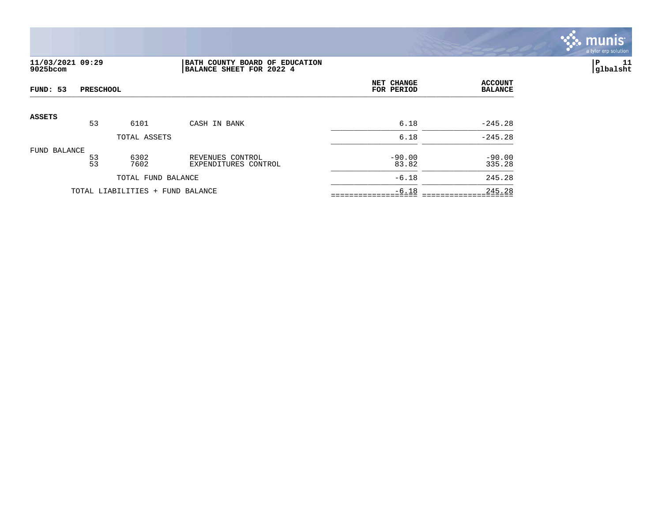![](_page_10_Picture_0.jpeg)

# **11/03/2021 09:29 |BATH COUNTY BOARD OF EDUCATION |P 11 9025bcom |BALANCE SHEET FOR 2022 4 |glbalsht**

| FUND: 53<br><b>PRESCHOOL</b> |                 |                                  |                                          | NET CHANGE<br>FOR PERIOD | <b>ACCOUNT</b><br><b>BALANCE</b> |
|------------------------------|-----------------|----------------------------------|------------------------------------------|--------------------------|----------------------------------|
| ASSETS                       |                 |                                  |                                          |                          |                                  |
|                              | 53              | 6101                             | CASH IN BANK                             | 6.18                     | $-245.28$                        |
|                              |                 | TOTAL ASSETS                     |                                          | 6.18                     | $-245.28$                        |
| FUND BALANCE                 | $\frac{53}{53}$ | 6302<br>7602                     | REVENUES CONTROL<br>EXPENDITURES CONTROL | $-90.00$<br>83.82        | $-90.00$<br>335.28               |
|                              |                 | TOTAL FUND BALANCE               |                                          | $-6.18$                  | 245.28                           |
|                              |                 | TOTAL LIABILITIES + FUND BALANCE |                                          | $-6.18$                  | 245.28                           |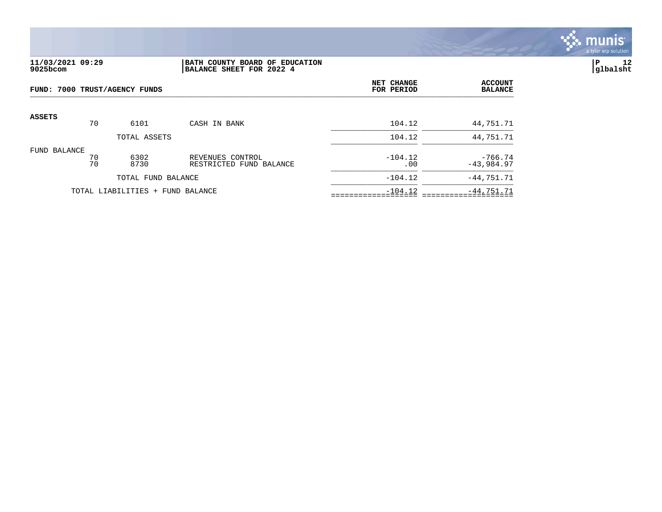![](_page_11_Picture_0.jpeg)

## **11/03/2021 09:29 |BATH COUNTY BOARD OF EDUCATION |P 12 9025bcom |BALANCE SHEET FOR 2022 4 |glbalsht**

|               | FUND: 7000 TRUST/AGENCY FUNDS |                                  |                                             |                  | <b>ACCOUNT</b><br><b>BALANCE</b> |
|---------------|-------------------------------|----------------------------------|---------------------------------------------|------------------|----------------------------------|
| <b>ASSETS</b> | 70                            | 6101                             | CASH IN BANK                                | 104.12           | 44,751.71                        |
|               |                               | TOTAL ASSETS                     |                                             | 104.12           | 44,751.71                        |
| FUND BALANCE  | 70<br>70                      | 6302<br>8730                     | REVENUES CONTROL<br>RESTRICTED FUND BALANCE | $-104.12$<br>.00 | $-766.74$<br>$-43,984.97$        |
|               |                               | TOTAL FUND BALANCE               |                                             | $-104.12$        | $-44,751.71$                     |
|               |                               | TOTAL LIABILITIES + FUND BALANCE |                                             | $-104.12$        | $-44,751.71$                     |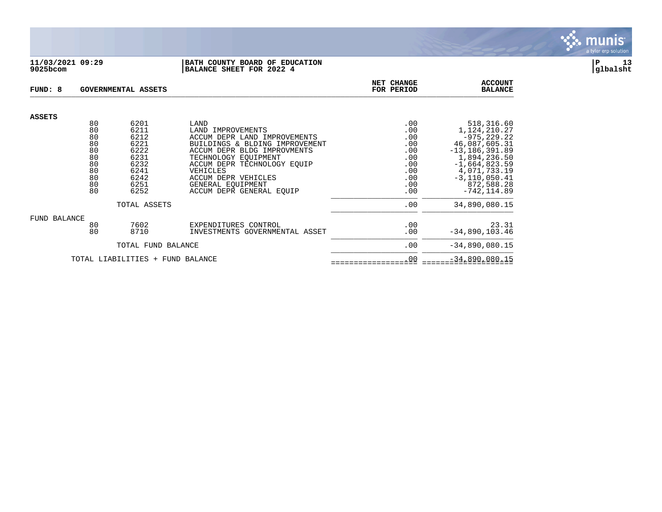![](_page_12_Picture_0.jpeg)

#### **11/03/2021 09:29 |BATH COUNTY BOARD OF EDUCATION |P 13 9025bcom |BALANCE SHEET FOR 2022 4 |glbalsht**

| FUND: 8                          |          | <b>GOVERNMENTAL ASSETS</b> |                                                   | NET CHANGE<br>FOR PERIOD | <b>ACCOUNT</b><br><b>BALANCE</b>  |
|----------------------------------|----------|----------------------------|---------------------------------------------------|--------------------------|-----------------------------------|
| <b>ASSETS</b>                    |          |                            |                                                   |                          |                                   |
|                                  | 80       | 6201                       | LAND                                              | .00                      | 518,316.60                        |
|                                  | 80<br>80 | 6211<br>6212               | LAND IMPROVEMENTS<br>ACCUM DEPR LAND IMPROVEMENTS | .00<br>.00               | 1, 124, 210. 27<br>$-975, 229.22$ |
|                                  | 80       | 6221                       | BUILDINGS & BLDING IMPROVEMENT                    | .00                      | 46,087,605.31                     |
|                                  | 80       | 6222                       | ACCUM DEPR BLDG IMPROVMENTS                       | .00                      | $-13, 186, 391.89$                |
|                                  | 80       | 6231                       | TECHNOLOGY EOUIPMENT                              | .00                      | 1,894,236.50                      |
|                                  | 80       | 6232                       | ACCUM DEPR TECHNOLOGY EOUIP                       | .00                      | $-1,664,823.59$                   |
|                                  | 80       | 6241                       | VEHICLES                                          | .00                      | 4,071,733.19                      |
|                                  | 80       | 6242                       | ACCUM DEPR VEHICLES                               | .00                      | $-3, 110, 050.41$                 |
|                                  | 80       | 6251                       | GENERAL EOUIPMENT                                 | .00                      | 872,588.28                        |
|                                  | 80       | 6252                       | ACCUM DEPR GENERAL EOUIP                          | .00                      | $-742, 114.89$                    |
|                                  |          | TOTAL ASSETS               |                                                   | .00                      | 34,890,080.15                     |
| FUND BALANCE                     |          |                            |                                                   |                          |                                   |
|                                  | 80       | 7602                       | EXPENDITURES CONTROL                              | .00                      | 23.31                             |
|                                  | 80       | 8710                       | INVESTMENTS GOVERNMENTAL ASSET                    | .00                      | $-34,890,103.46$                  |
| TOTAL FUND BALANCE               |          |                            |                                                   | .00                      | $-34,890,080.15$                  |
| TOTAL LIABILITIES + FUND BALANCE |          |                            |                                                   | .00                      | $-34,890,080.15$                  |

![](_page_12_Picture_3.jpeg)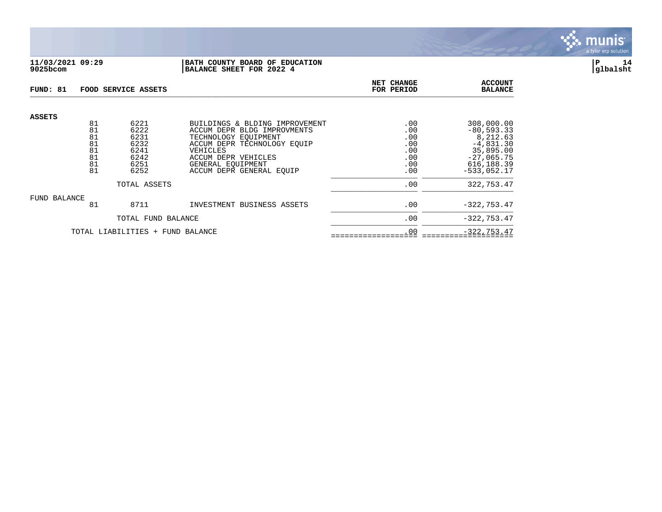![](_page_13_Picture_0.jpeg)

## **11/03/2021 09:29 |BATH COUNTY BOARD OF EDUCATION |P 14 9025bcom |BALANCE SHEET FOR 2022 4 |glbalsht**

| FUND: 81                         |                                  | FOOD SERVICE ASSETS                          | <b>NET CHANGE</b><br>FOR PERIOD                                                                                                                         | <b>ACCOUNT</b><br><b>BALANCE</b>       |                                                                                     |
|----------------------------------|----------------------------------|----------------------------------------------|---------------------------------------------------------------------------------------------------------------------------------------------------------|----------------------------------------|-------------------------------------------------------------------------------------|
| <b>ASSETS</b>                    | 81<br>81<br>81<br>81<br>81<br>81 | 6221<br>6222<br>6231<br>6232<br>6241<br>6242 | BUILDINGS & BLDING IMPROVEMENT<br>ACCUM DEPR BLDG IMPROVMENTS<br>TECHNOLOGY EOUIPMENT<br>ACCUM DEPR TECHNOLOGY EOUIP<br>VEHICLES<br>ACCUM DEPR VEHICLES | .00<br>.00<br>.00<br>.00<br>.00<br>.00 | 308,000.00<br>$-80, 593.33$<br>8,212.63<br>$-4,831.30$<br>35,895.00<br>$-27,065.75$ |
|                                  | 81<br>81                         | 6251<br>6252                                 | GENERAL EOUIPMENT<br>ACCUM DEPR GENERAL EQUIP                                                                                                           | .00<br>.00                             | 616, 188.39<br>$-533.052.17$                                                        |
|                                  |                                  | TOTAL ASSETS                                 |                                                                                                                                                         | .00                                    | 322,753.47                                                                          |
| FUND BALANCE                     | 81                               | 8711                                         | INVESTMENT BUSINESS ASSETS                                                                                                                              | .00                                    | $-322, 753.47$                                                                      |
|                                  |                                  | TOTAL FUND BALANCE                           |                                                                                                                                                         | .00                                    | $-322, 753.47$                                                                      |
| TOTAL LIABILITIES + FUND BALANCE |                                  |                                              |                                                                                                                                                         | .00                                    | $-322, 753.47$                                                                      |